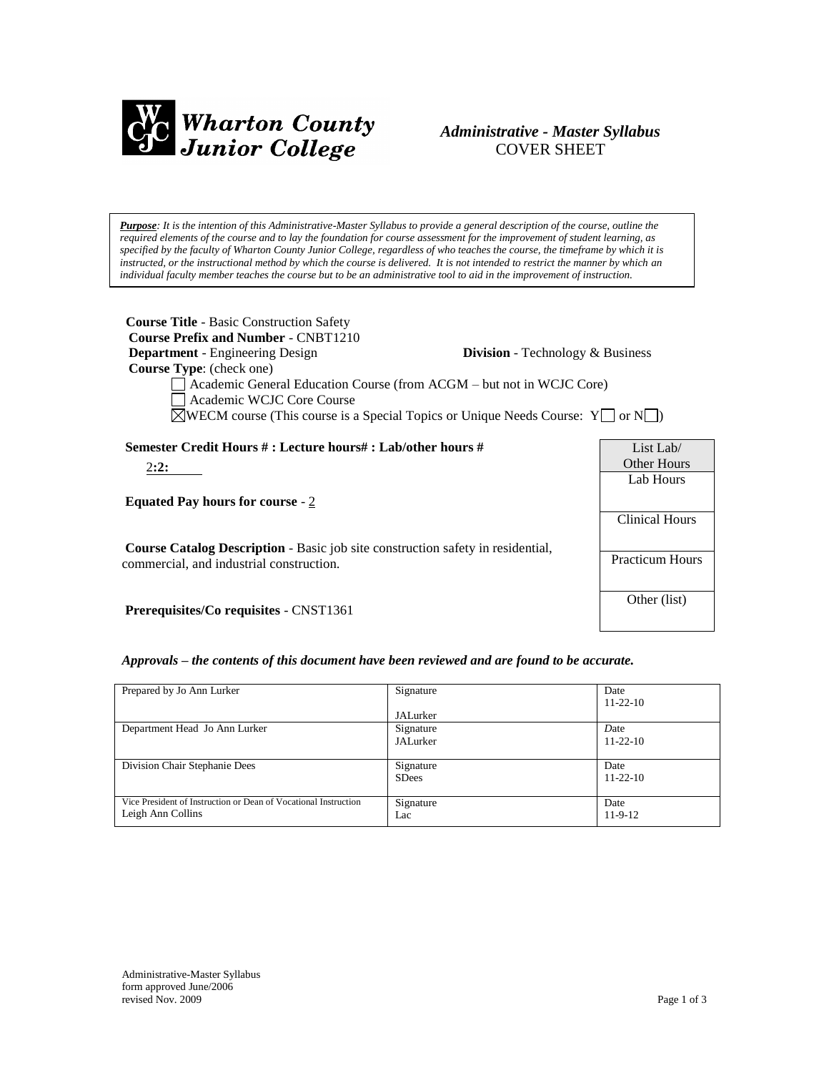

# *Administrative - Master Syllabus*  COVER SHEET

*Purpose: It is the intention of this Administrative-Master Syllabus to provide a general description of the course, outline the required elements of the course and to lay the foundation for course assessment for the improvement of student learning, as specified by the faculty of Wharton County Junior College, regardless of who teaches the course, the timeframe by which it is instructed, or the instructional method by which the course is delivered. It is not intended to restrict the manner by which an individual faculty member teaches the course but to be an administrative tool to aid in the improvement of instruction.*

| <b>Course Title - Basic Construction Safety</b><br><b>Course Prefix and Number - CNBT1210</b><br><b>Department</b> - Engineering Design<br><b>Division</b> - Technology & Business<br><b>Course Type:</b> (check one)<br>Academic General Education Course (from ACGM – but not in WCJC Core)<br>Academic WCJC Core Course<br>$\Box$ WECM course (This course is a Special Topics or Unique Needs Course: Y $\Box$ or N $\Box$ ) |                        |
|----------------------------------------------------------------------------------------------------------------------------------------------------------------------------------------------------------------------------------------------------------------------------------------------------------------------------------------------------------------------------------------------------------------------------------|------------------------|
| Semester Credit Hours #: Lecture hours#: Lab/other hours #                                                                                                                                                                                                                                                                                                                                                                       | List Lab/              |
| 2:2:                                                                                                                                                                                                                                                                                                                                                                                                                             | Other Hours            |
|                                                                                                                                                                                                                                                                                                                                                                                                                                  | Lab Hours              |
| <b>Equated Pay hours for course - 2</b>                                                                                                                                                                                                                                                                                                                                                                                          |                        |
|                                                                                                                                                                                                                                                                                                                                                                                                                                  | <b>Clinical Hours</b>  |
| <b>Course Catalog Description</b> - Basic job site construction safety in residential,                                                                                                                                                                                                                                                                                                                                           |                        |
| commercial, and industrial construction.                                                                                                                                                                                                                                                                                                                                                                                         | <b>Practicum Hours</b> |
|                                                                                                                                                                                                                                                                                                                                                                                                                                  |                        |
| <b>Prerequisites/Co requisites - CNST1361</b>                                                                                                                                                                                                                                                                                                                                                                                    | Other (list)           |

## *Approvals – the contents of this document have been reviewed and are found to be accurate.*

| Prepared by Jo Ann Lurker                                                            | Signature<br>JALurker     | Date<br>$11 - 22 - 10$ |
|--------------------------------------------------------------------------------------|---------------------------|------------------------|
| Department Head Jo Ann Lurker                                                        | Signature<br>JALurker     | Date<br>$11 - 22 - 10$ |
| Division Chair Stephanie Dees                                                        | Signature<br><b>SDees</b> | Date<br>$11 - 22 - 10$ |
| Vice President of Instruction or Dean of Vocational Instruction<br>Leigh Ann Collins | Signature<br>Lac          | Date<br>$11-9-12$      |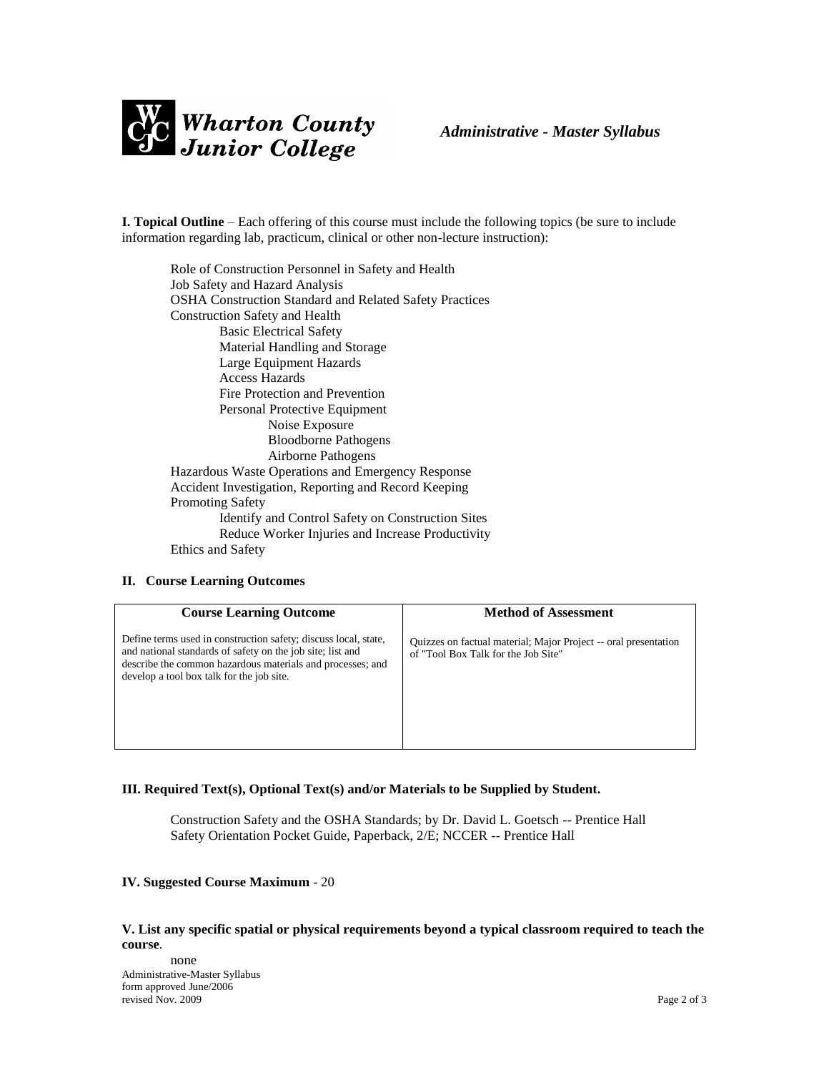

**I. Topical Outline** – Each offering of this course must include the following topics (be sure to include information regarding lab, practicum, clinical or other non-lecture instruction):

Role of Construction Personnel in Safety and Health Job Safety and Hazard Analysis OSHA Construction Standard and Related Safety Practices Construction Safety and Health Basic Electrical Safety Material Handling and Storage Large Equipment Hazards Access Hazards Fire Protection and Prevention Personal Protective Equipment Noise Exposure Bloodborne Pathogens Airborne Pathogens Hazardous Waste Operations and Emergency Response Accident Investigation, Reporting and Record Keeping Promoting Safety Identify and Control Safety on Construction Sites Reduce Worker Injuries and Increase Productivity Ethics and Safety

#### **II. Course Learning Outcomes**

| <b>Course Learning Outcome</b>                                                                                                                                                                                                           | <b>Method of Assessment</b>                                                                            |
|------------------------------------------------------------------------------------------------------------------------------------------------------------------------------------------------------------------------------------------|--------------------------------------------------------------------------------------------------------|
| Define terms used in construction safety; discuss local, state,<br>and national standards of safety on the job site; list and<br>describe the common hazardous materials and processes; and<br>develop a tool box talk for the job site. | Quizzes on factual material; Major Project -- oral presentation<br>of "Tool Box Talk for the Job Site" |

#### **III. Required Text(s), Optional Text(s) and/or Materials to be Supplied by Student.**

Construction Safety and the OSHA Standards; by Dr. David L. Goetsch -- Prentice Hall Safety Orientation Pocket Guide, Paperback, 2/E; NCCER -- Prentice Hall

#### **IV. Suggested Course Maximum** - 20

#### **V. List any specific spatial or physical requirements beyond a typical classroom required to teach the course**.

Administrative-Master Syllabus form approved June/2006 revised Nov. 2009 Page 2 of 3 none